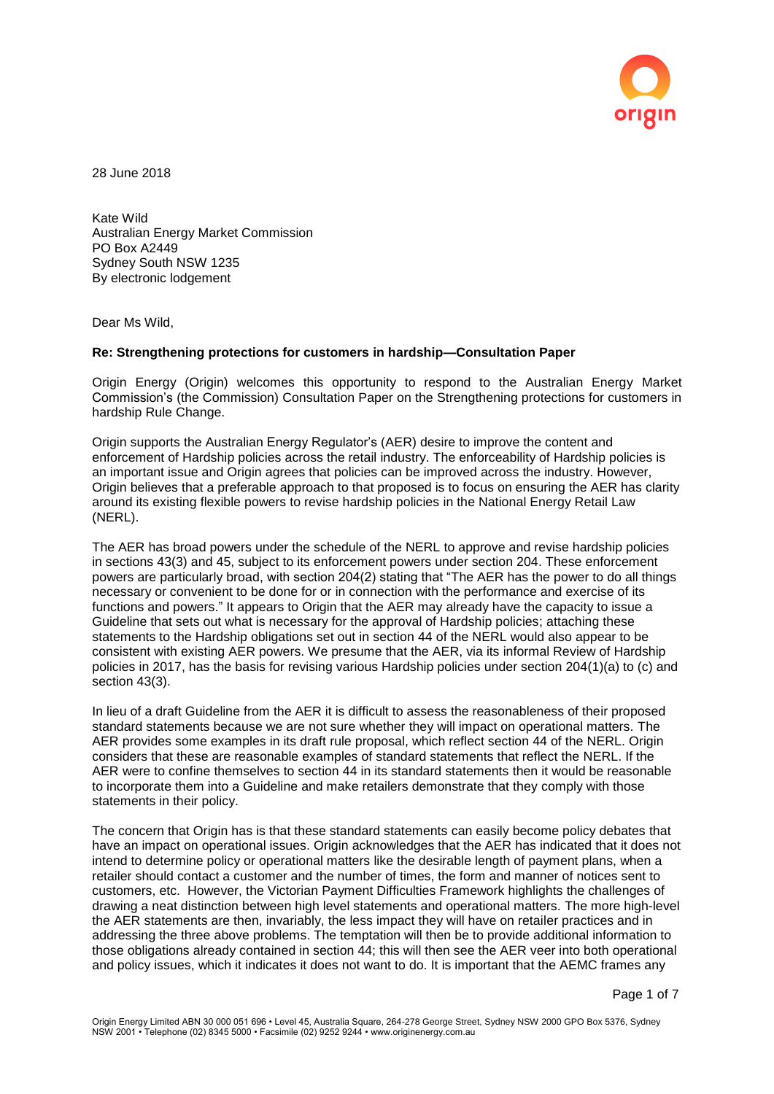

28 June 2018

Kate Wild Australian Energy Market Commission PO Box A2449 Sydney South NSW 1235 By electronic lodgement

Dear Ms Wild,

#### **Re: Strengthening protections for customers in hardship—Consultation Paper**

Origin Energy (Origin) welcomes this opportunity to respond to the Australian Energy Market Commission's (the Commission) Consultation Paper on the Strengthening protections for customers in hardship Rule Change.

Origin supports the Australian Energy Regulator's (AER) desire to improve the content and enforcement of Hardship policies across the retail industry. The enforceability of Hardship policies is an important issue and Origin agrees that policies can be improved across the industry. However, Origin believes that a preferable approach to that proposed is to focus on ensuring the AER has clarity around its existing flexible powers to revise hardship policies in the National Energy Retail Law (NERL).

The AER has broad powers under the schedule of the NERL to approve and revise hardship policies in sections 43(3) and 45, subject to its enforcement powers under section 204. These enforcement powers are particularly broad, with section 204(2) stating that "The AER has the power to do all things necessary or convenient to be done for or in connection with the performance and exercise of its functions and powers." It appears to Origin that the AER may already have the capacity to issue a Guideline that sets out what is necessary for the approval of Hardship policies; attaching these statements to the Hardship obligations set out in section 44 of the NERL would also appear to be consistent with existing AER powers. We presume that the AER, via its informal Review of Hardship policies in 2017, has the basis for revising various Hardship policies under section 204(1)(a) to (c) and section 43(3).

In lieu of a draft Guideline from the AER it is difficult to assess the reasonableness of their proposed standard statements because we are not sure whether they will impact on operational matters. The AER provides some examples in its draft rule proposal, which reflect section 44 of the NERL. Origin considers that these are reasonable examples of standard statements that reflect the NERL. If the AER were to confine themselves to section 44 in its standard statements then it would be reasonable to incorporate them into a Guideline and make retailers demonstrate that they comply with those statements in their policy.

The concern that Origin has is that these standard statements can easily become policy debates that have an impact on operational issues. Origin acknowledges that the AER has indicated that it does not intend to determine policy or operational matters like the desirable length of payment plans, when a retailer should contact a customer and the number of times, the form and manner of notices sent to customers, etc. However, the Victorian Payment Difficulties Framework highlights the challenges of drawing a neat distinction between high level statements and operational matters. The more high-level the AER statements are then, invariably, the less impact they will have on retailer practices and in addressing the three above problems. The temptation will then be to provide additional information to those obligations already contained in section 44; this will then see the AER veer into both operational and policy issues, which it indicates it does not want to do. It is important that the AEMC frames any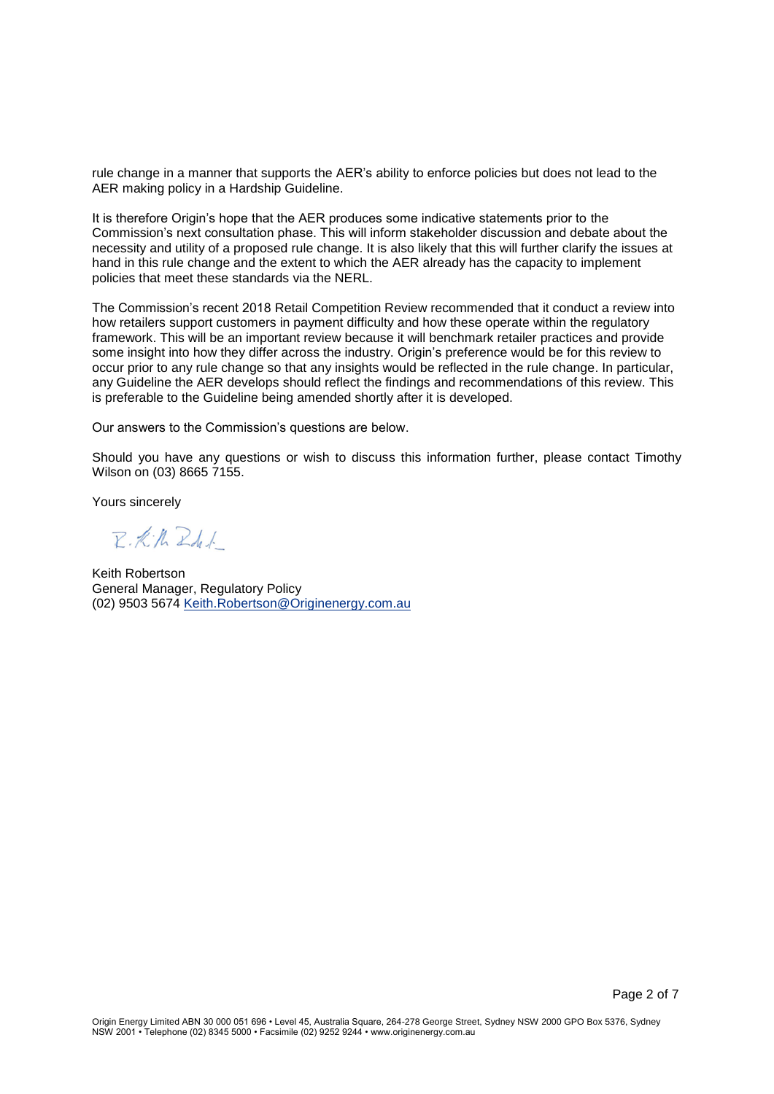rule change in a manner that supports the AER's ability to enforce policies but does not lead to the AER making policy in a Hardship Guideline.

It is therefore Origin's hope that the AER produces some indicative statements prior to the Commission's next consultation phase. This will inform stakeholder discussion and debate about the necessity and utility of a proposed rule change. It is also likely that this will further clarify the issues at hand in this rule change and the extent to which the AER already has the capacity to implement policies that meet these standards via the NERL.

The Commission's recent 2018 Retail Competition Review recommended that it conduct a review into how retailers support customers in payment difficulty and how these operate within the regulatory framework. This will be an important review because it will benchmark retailer practices and provide some insight into how they differ across the industry. Origin's preference would be for this review to occur prior to any rule change so that any insights would be reflected in the rule change. In particular, any Guideline the AER develops should reflect the findings and recommendations of this review. This is preferable to the Guideline being amended shortly after it is developed.

Our answers to the Commission's questions are below.

Should you have any questions or wish to discuss this information further, please contact Timothy Wilson on (03) 8665 7155.

Yours sincerely

 $Z:K/hZdL$ 

Keith Robertson General Manager, Regulatory Policy (02) 9503 5674 [Keith.Robertson@Originenergy.com.au](mailto:Keith.Robertson@Originenergy.com.au)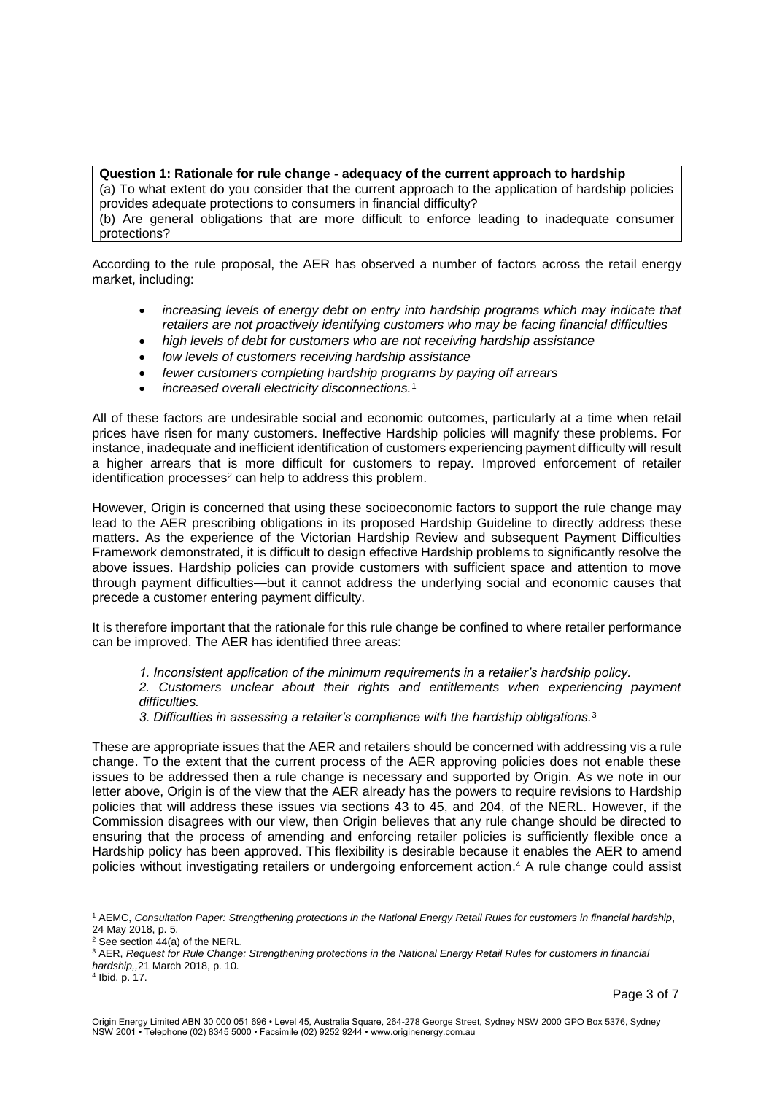# **Question 1: Rationale for rule change - adequacy of the current approach to hardship**

(a) To what extent do you consider that the current approach to the application of hardship policies provides adequate protections to consumers in financial difficulty?

(b) Are general obligations that are more difficult to enforce leading to inadequate consumer protections?

According to the rule proposal, the AER has observed a number of factors across the retail energy market, including:

- *increasing levels of energy debt on entry into hardship programs which may indicate that retailers are not proactively identifying customers who may be facing financial difficulties*
- *high levels of debt for customers who are not receiving hardship assistance*
- *low levels of customers receiving hardship assistance*
- *fewer customers completing hardship programs by paying off arrears*
- *increased overall electricity disconnections.*<sup>1</sup>

All of these factors are undesirable social and economic outcomes, particularly at a time when retail prices have risen for many customers. Ineffective Hardship policies will magnify these problems. For instance, inadequate and inefficient identification of customers experiencing payment difficulty will result a higher arrears that is more difficult for customers to repay. Improved enforcement of retailer identification processes<sup>2</sup> can help to address this problem.

However, Origin is concerned that using these socioeconomic factors to support the rule change may lead to the AER prescribing obligations in its proposed Hardship Guideline to directly address these matters. As the experience of the Victorian Hardship Review and subsequent Payment Difficulties Framework demonstrated, it is difficult to design effective Hardship problems to significantly resolve the above issues. Hardship policies can provide customers with sufficient space and attention to move through payment difficulties—but it cannot address the underlying social and economic causes that precede a customer entering payment difficulty.

It is therefore important that the rationale for this rule change be confined to where retailer performance can be improved. The AER has identified three areas:

*1. Inconsistent application of the minimum requirements in a retailer's hardship policy.* 

*2. Customers unclear about their rights and entitlements when experiencing payment difficulties.* 

*3. Difficulties in assessing a retailer's compliance with the hardship obligations.*<sup>3</sup>

These are appropriate issues that the AER and retailers should be concerned with addressing vis a rule change. To the extent that the current process of the AER approving policies does not enable these issues to be addressed then a rule change is necessary and supported by Origin. As we note in our letter above, Origin is of the view that the AER already has the powers to require revisions to Hardship policies that will address these issues via sections 43 to 45, and 204, of the NERL. However, if the Commission disagrees with our view, then Origin believes that any rule change should be directed to ensuring that the process of amending and enforcing retailer policies is sufficiently flexible once a Hardship policy has been approved. This flexibility is desirable because it enables the AER to amend policies without investigating retailers or undergoing enforcement action. <sup>4</sup> A rule change could assist

l

<sup>1</sup> AEMC, *Consultation Paper: Strengthening protections in the National Energy Retail Rules for customers in financial hardship*, 24 May 2018, p. 5.

<sup>2</sup> See section 44(a) of the NERL.

<sup>3</sup> AER, *Request for Rule Change: Strengthening protections in the National Energy Retail Rules for customers in financial hardship,,*21 March 2018, p. 10.

<sup>4</sup> Ibid, p. 17.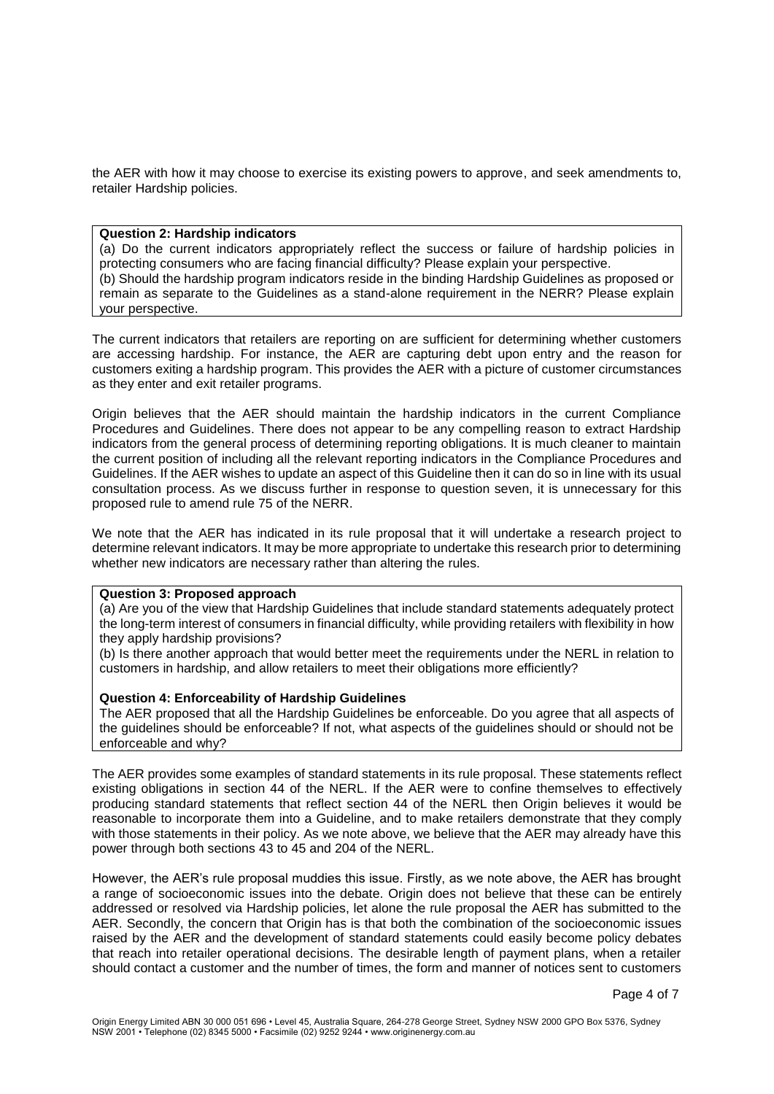the AER with how it may choose to exercise its existing powers to approve, and seek amendments to, retailer Hardship policies.

## **Question 2: Hardship indicators**

(a) Do the current indicators appropriately reflect the success or failure of hardship policies in protecting consumers who are facing financial difficulty? Please explain your perspective. (b) Should the hardship program indicators reside in the binding Hardship Guidelines as proposed or remain as separate to the Guidelines as a stand-alone requirement in the NERR? Please explain your perspective.

The current indicators that retailers are reporting on are sufficient for determining whether customers are accessing hardship. For instance, the AER are capturing debt upon entry and the reason for customers exiting a hardship program. This provides the AER with a picture of customer circumstances as they enter and exit retailer programs.

Origin believes that the AER should maintain the hardship indicators in the current Compliance Procedures and Guidelines. There does not appear to be any compelling reason to extract Hardship indicators from the general process of determining reporting obligations. It is much cleaner to maintain the current position of including all the relevant reporting indicators in the Compliance Procedures and Guidelines. If the AER wishes to update an aspect of this Guideline then it can do so in line with its usual consultation process. As we discuss further in response to question seven, it is unnecessary for this proposed rule to amend rule 75 of the NERR.

We note that the AER has indicated in its rule proposal that it will undertake a research project to determine relevant indicators. It may be more appropriate to undertake this research prior to determining whether new indicators are necessary rather than altering the rules.

#### **Question 3: Proposed approach**

(a) Are you of the view that Hardship Guidelines that include standard statements adequately protect the long-term interest of consumers in financial difficulty, while providing retailers with flexibility in how they apply hardship provisions?

(b) Is there another approach that would better meet the requirements under the NERL in relation to customers in hardship, and allow retailers to meet their obligations more efficiently?

## **Question 4: Enforceability of Hardship Guidelines**

The AER proposed that all the Hardship Guidelines be enforceable. Do you agree that all aspects of the guidelines should be enforceable? If not, what aspects of the guidelines should or should not be enforceable and why?

The AER provides some examples of standard statements in its rule proposal. These statements reflect existing obligations in section 44 of the NERL. If the AER were to confine themselves to effectively producing standard statements that reflect section 44 of the NERL then Origin believes it would be reasonable to incorporate them into a Guideline, and to make retailers demonstrate that they comply with those statements in their policy. As we note above, we believe that the AER may already have this power through both sections 43 to 45 and 204 of the NERL.

However, the AER's rule proposal muddies this issue. Firstly, as we note above, the AER has brought a range of socioeconomic issues into the debate. Origin does not believe that these can be entirely addressed or resolved via Hardship policies, let alone the rule proposal the AER has submitted to the AER. Secondly, the concern that Origin has is that both the combination of the socioeconomic issues raised by the AER and the development of standard statements could easily become policy debates that reach into retailer operational decisions. The desirable length of payment plans, when a retailer should contact a customer and the number of times, the form and manner of notices sent to customers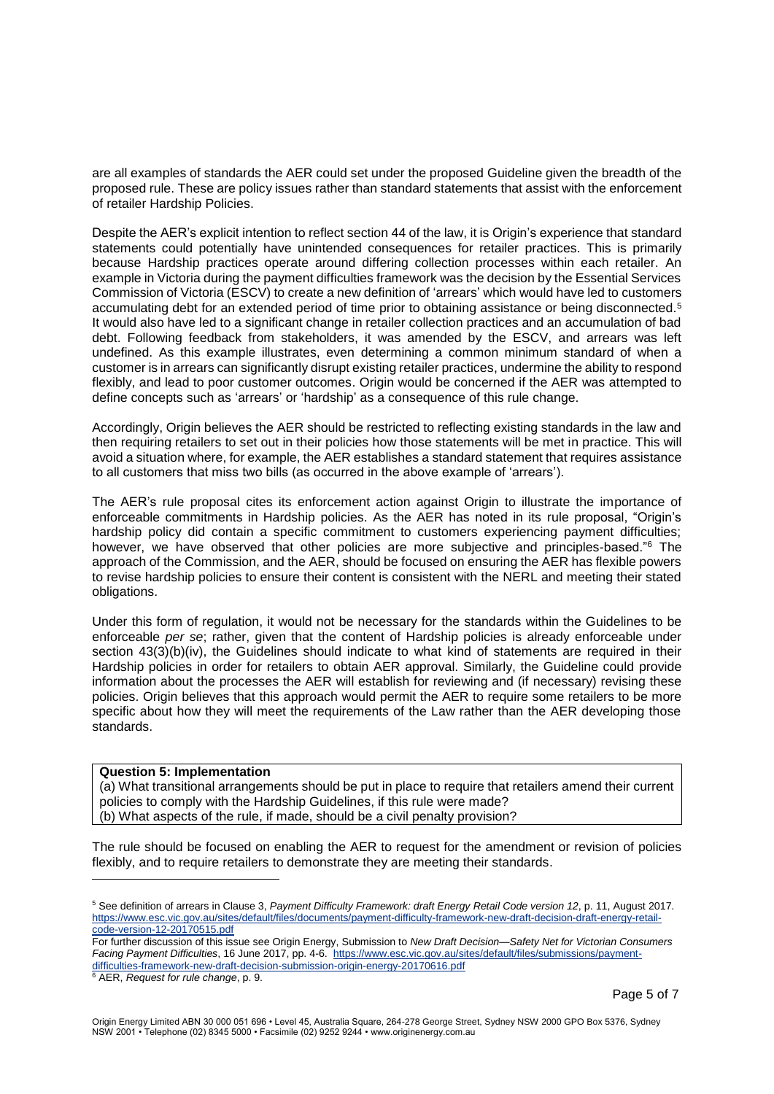are all examples of standards the AER could set under the proposed Guideline given the breadth of the proposed rule. These are policy issues rather than standard statements that assist with the enforcement of retailer Hardship Policies.

Despite the AER's explicit intention to reflect section 44 of the law, it is Origin's experience that standard statements could potentially have unintended consequences for retailer practices. This is primarily because Hardship practices operate around differing collection processes within each retailer. An example in Victoria during the payment difficulties framework was the decision by the Essential Services Commission of Victoria (ESCV) to create a new definition of 'arrears' which would have led to customers accumulating debt for an extended period of time prior to obtaining assistance or being disconnected.<sup>5</sup> It would also have led to a significant change in retailer collection practices and an accumulation of bad debt. Following feedback from stakeholders, it was amended by the ESCV, and arrears was left undefined. As this example illustrates, even determining a common minimum standard of when a customer is in arrears can significantly disrupt existing retailer practices, undermine the ability to respond flexibly, and lead to poor customer outcomes. Origin would be concerned if the AER was attempted to define concepts such as 'arrears' or 'hardship' as a consequence of this rule change.

Accordingly, Origin believes the AER should be restricted to reflecting existing standards in the law and then requiring retailers to set out in their policies how those statements will be met in practice. This will avoid a situation where, for example, the AER establishes a standard statement that requires assistance to all customers that miss two bills (as occurred in the above example of 'arrears').

The AER's rule proposal cites its enforcement action against Origin to illustrate the importance of enforceable commitments in Hardship policies. As the AER has noted in its rule proposal, "Origin's hardship policy did contain a specific commitment to customers experiencing payment difficulties; however, we have observed that other policies are more subjective and principles-based."<sup>6</sup> The approach of the Commission, and the AER, should be focused on ensuring the AER has flexible powers to revise hardship policies to ensure their content is consistent with the NERL and meeting their stated obligations.

Under this form of regulation, it would not be necessary for the standards within the Guidelines to be enforceable *per se*; rather, given that the content of Hardship policies is already enforceable under section 43(3)(b)(iv), the Guidelines should indicate to what kind of statements are required in their Hardship policies in order for retailers to obtain AER approval. Similarly, the Guideline could provide information about the processes the AER will establish for reviewing and (if necessary) revising these policies. Origin believes that this approach would permit the AER to require some retailers to be more specific about how they will meet the requirements of the Law rather than the AER developing those standards.

#### **Question 5: Implementation**

(a) What transitional arrangements should be put in place to require that retailers amend their current policies to comply with the Hardship Guidelines, if this rule were made? (b) What aspects of the rule, if made, should be a civil penalty provision?

The rule should be focused on enabling the AER to request for the amendment or revision of policies flexibly, and to require retailers to demonstrate they are meeting their standards.

l

<sup>5</sup> See definition of arrears in Clause 3, *Payment Difficulty Framework: draft Energy Retail Code version 12*, p. 11, August 2017. [https://www.esc.vic.gov.au/sites/default/files/documents/payment-difficulty-framework-new-draft-decision-draft-energy-retail](https://www.esc.vic.gov.au/sites/default/files/documents/payment-difficulty-framework-new-draft-decision-draft-energy-retail-code-version-12-20170515.pdf)[code-version-12-20170515.pdf](https://www.esc.vic.gov.au/sites/default/files/documents/payment-difficulty-framework-new-draft-decision-draft-energy-retail-code-version-12-20170515.pdf)

For further discussion of this issue see Origin Energy, Submission to *New Draft Decision—Safety Net for Victorian Consumers Facing Payment Difficulties*, 16 June 2017, pp. 4-6. [https://www.esc.vic.gov.au/sites/default/files/submissions/payment](https://www.esc.vic.gov.au/sites/default/files/submissions/payment-difficulties-framework-new-draft-decision-submission-origin-energy-20170616.pdf)[difficulties-framework-new-draft-decision-submission-origin-energy-20170616.pdf](https://www.esc.vic.gov.au/sites/default/files/submissions/payment-difficulties-framework-new-draft-decision-submission-origin-energy-20170616.pdf)

<sup>6</sup> AER, *Request for rule change*, p. 9.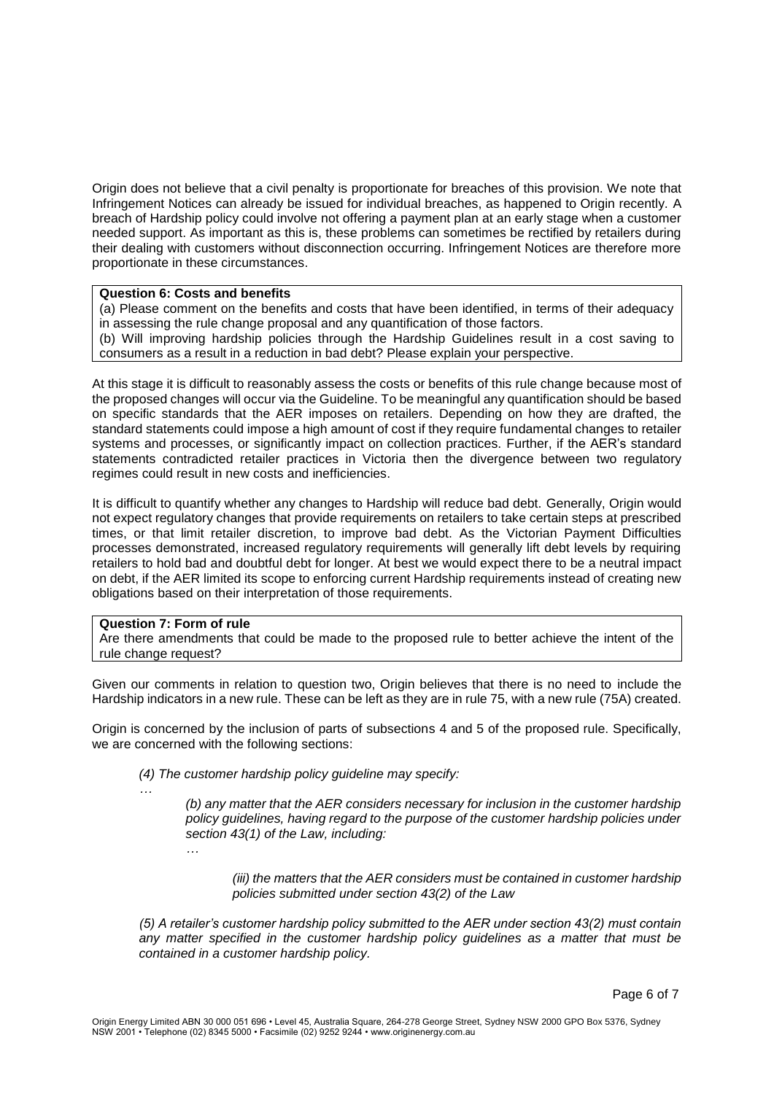Origin does not believe that a civil penalty is proportionate for breaches of this provision. We note that Infringement Notices can already be issued for individual breaches, as happened to Origin recently. A breach of Hardship policy could involve not offering a payment plan at an early stage when a customer needed support. As important as this is, these problems can sometimes be rectified by retailers during their dealing with customers without disconnection occurring. Infringement Notices are therefore more proportionate in these circumstances.

# **Question 6: Costs and benefits**

(a) Please comment on the benefits and costs that have been identified, in terms of their adequacy in assessing the rule change proposal and any quantification of those factors. (b) Will improving hardship policies through the Hardship Guidelines result in a cost saving to consumers as a result in a reduction in bad debt? Please explain your perspective.

At this stage it is difficult to reasonably assess the costs or benefits of this rule change because most of the proposed changes will occur via the Guideline. To be meaningful any quantification should be based on specific standards that the AER imposes on retailers. Depending on how they are drafted, the standard statements could impose a high amount of cost if they require fundamental changes to retailer systems and processes, or significantly impact on collection practices. Further, if the AER's standard statements contradicted retailer practices in Victoria then the divergence between two regulatory regimes could result in new costs and inefficiencies.

It is difficult to quantify whether any changes to Hardship will reduce bad debt. Generally, Origin would not expect regulatory changes that provide requirements on retailers to take certain steps at prescribed times, or that limit retailer discretion, to improve bad debt. As the Victorian Payment Difficulties processes demonstrated, increased regulatory requirements will generally lift debt levels by requiring retailers to hold bad and doubtful debt for longer. At best we would expect there to be a neutral impact on debt, if the AER limited its scope to enforcing current Hardship requirements instead of creating new obligations based on their interpretation of those requirements.

# **Question 7: Form of rule**

Are there amendments that could be made to the proposed rule to better achieve the intent of the rule change request?

Given our comments in relation to question two, Origin believes that there is no need to include the Hardship indicators in a new rule. These can be left as they are in rule 75, with a new rule (75A) created.

Origin is concerned by the inclusion of parts of subsections 4 and 5 of the proposed rule. Specifically, we are concerned with the following sections:

- *(4) The customer hardship policy guideline may specify:*
	- *(b) any matter that the AER considers necessary for inclusion in the customer hardship policy guidelines, having regard to the purpose of the customer hardship policies under section 43(1) of the Law, including:*
		- *…*

*…*

*(iii) the matters that the AER considers must be contained in customer hardship policies submitted under section 43(2) of the Law*

*(5) A retailer's customer hardship policy submitted to the AER under section 43(2) must contain any matter specified in the customer hardship policy guidelines as a matter that must be contained in a customer hardship policy.*